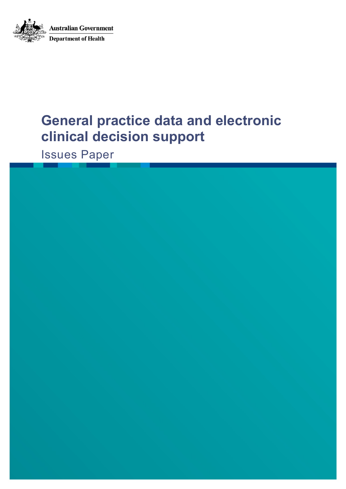

# **General practice data and electronic clinical decision support**

Issues Paper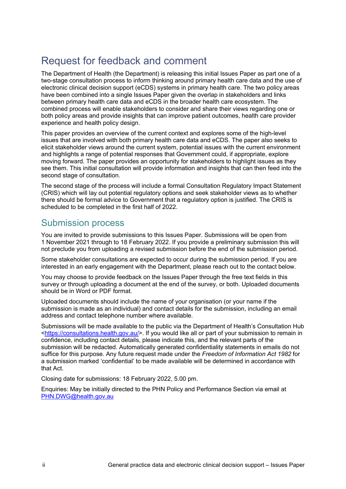## <span id="page-1-0"></span>Request for feedback and comment

The Department of Health (the Department) is releasing this initial Issues Paper as part one of a two-stage consultation process to inform thinking around primary health care data and the use of electronic clinical decision support (eCDS) systems in primary health care. The two policy areas have been combined into a single Issues Paper given the overlap in stakeholders and links between primary health care data and eCDS in the broader health care ecosystem. The combined process will enable stakeholders to consider and share their views regarding one or both policy areas and provide insights that can improve patient outcomes, health care provider experience and health policy design.

This paper provides an overview of the current context and explores some of the high-level issues that are involved with both primary health care data and eCDS. The paper also seeks to elicit stakeholder views around the current system, potential issues with the current environment and highlights a range of potential responses that Government could, if appropriate, explore moving forward. The paper provides an opportunity for stakeholders to highlight issues as they see them. This initial consultation will provide information and insights that can then feed into the second stage of consultation.

The second stage of the process will include a formal Consultation Regulatory Impact Statement (CRIS) which will lay out potential regulatory options and seek stakeholder views as to whether there should be formal advice to Government that a regulatory option is justified. The CRIS is scheduled to be completed in the first half of 2022.

### Submission process

You are invited to provide submissions to this Issues Paper. Submissions will be open from 1 November 2021 through to 18 February 2022. If you provide a preliminary submission this will not preclude you from uploading a revised submission before the end of the submission period.

Some stakeholder consultations are expected to occur during the submission period. If you are interested in an early engagement with the Department, please reach out to the contact below.

You may choose to provide feedback on the Issues Paper through the free text fields in this survey or through uploading a document at the end of the survey, or both. Uploaded documents should be in Word or PDF format.

Uploaded documents should include the name of your organisation (or your name if the submission is made as an individual) and contact details for the submission, including an email address and contact telephone number where available.

Submissions will be made available to the public via the Department of Health's Consultation Hub [<https://consultations.health.gov.au/>](https://consultations.health.gov.au/). If you would like all or part of your submission to remain in confidence, including contact details, please indicate this, and the relevant parts of the submission will be redacted. Automatically generated confidentiality statements in emails do not suffice for this purpose. Any future request made under the *Freedom of Information Act 1982* for a submission marked 'confidential' to be made available will be determined in accordance with that Act.

Closing date for submissions: 18 February 2022, 5.00 pm.

Enquiries: May be initially directed to the PHN Policy and Performance Section via email at [PHN.DWG@health.gov.au](mailto:PHN.DWG@health.gov.au)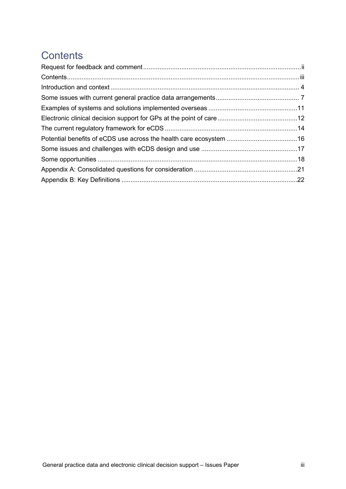## <span id="page-2-0"></span>**Contents**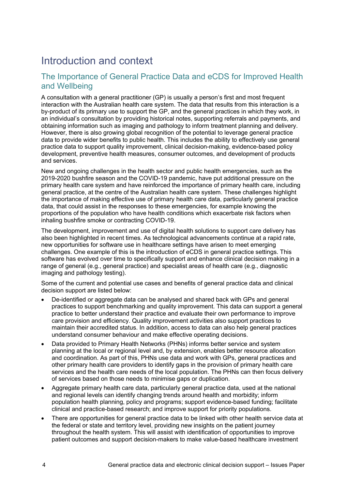## <span id="page-3-0"></span>Introduction and context

#### The Importance of General Practice Data and eCDS for Improved Health and Wellbeing

A consultation with a general practitioner (GP) is usually a person's first and most frequent interaction with the Australian health care system. The data that results from this interaction is a by-product of its primary use to support the GP, and the general practices in which they work, in an individual's consultation by providing historical notes, supporting referrals and payments, and obtaining information such as imaging and pathology to inform treatment planning and delivery. However, there is also growing global recognition of the potential to leverage general practice data to provide wider benefits to public health. This includes the ability to effectively use general practice data to support quality improvement, clinical decision-making, evidence-based policy development, preventive health measures, consumer outcomes, and development of products and services.

New and ongoing challenges in the health sector and public health emergencies, such as the 2019-2020 bushfire season and the COVID-19 pandemic, have put additional pressure on the primary health care system and have reinforced the importance of primary health care, including general practice, at the centre of the Australian health care system. These challenges highlight the importance of making effective use of primary health care data, particularly general practice data, that could assist in the responses to these emergencies, for example knowing the proportions of the population who have health conditions which exacerbate risk factors when inhaling bushfire smoke or contracting COVID-19.

The development, improvement and use of digital health solutions to support care delivery has also been highlighted in recent times. As technological advancements continue at a rapid rate, new opportunities for software use in healthcare settings have arisen to meet emerging challenges. One example of this is the introduction of eCDS in general practice settings. This software has evolved over time to specifically support and enhance clinical decision making in a range of general (e.g., general practice) and specialist areas of health care (e.g., diagnostic imaging and pathology testing).

Some of the current and potential use cases and benefits of general practice data and clinical decision support are listed below:

- De-identified or aggregate data can be analysed and shared back with GPs and general practices to support benchmarking and quality improvement. This data can support a general practice to better understand their practice and evaluate their own performance to improve care provision and efficiency. Quality improvement activities also support practices to maintain their accredited status. In addition, access to data can also help general practices understand consumer behaviour and make effective operating decisions.
- Data provided to Primary Health Networks (PHNs) informs better service and system planning at the local or regional level and, by extension, enables better resource allocation and coordination. As part of this, PHNs use data and work with GPs, general practices and other primary health care providers to identify gaps in the provision of primary health care services and the health care needs of the local population. The PHNs can then focus delivery of services based on those needs to minimise gaps or duplication.
- Aggregate primary health care data, particularly general practice data, used at the national and regional levels can identify changing trends around health and morbidity; inform population health planning, policy and programs; support evidence-based funding; facilitate clinical and practice-based research; and improve support for priority populations.
- There are opportunities for general practice data to be linked with other health service data at the federal or state and territory level, providing new insights on the patient journey throughout the health system. This will assist with identification of opportunities to improve patient outcomes and support decision-makers to make value-based healthcare investment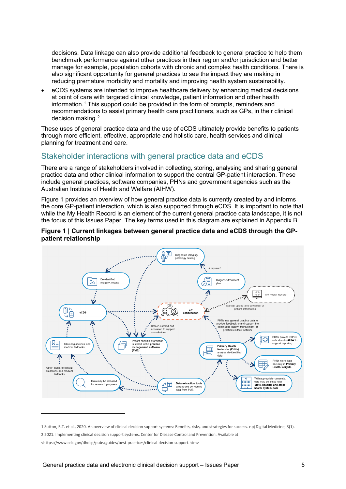decisions. Data linkage can also provide additional feedback to general practice to help them benchmark performance against other practices in their region and/or jurisdiction and better manage for example, population cohorts with chronic and complex health conditions. There is also significant opportunity for general practices to see the impact they are making in reducing premature morbidity and mortality and improving health system sustainability.

• eCDS systems are intended to improve healthcare delivery by enhancing medical decisions at point of care with targeted clinical knowledge, patient information and other health information.[1](#page-4-0) This support could be provided in the form of prompts, reminders and recommendations to assist primary health care practitioners, such as GPs, in their clinical decision making.[2](#page-4-1)

These uses of general practice data and the use of eCDS ultimately provide benefits to patients through more efficient, effective, appropriate and holistic care, health services and clinical planning for treatment and care.

#### Stakeholder interactions with general practice data and eCDS

There are a range of stakeholders involved in collecting, storing, analysing and sharing general practice data and other clinical information to support the central GP-patient interaction. These include general practices, software companies, PHNs and government agencies such as the Australian Institute of Health and Welfare (AIHW).

Figure 1 provides an overview of how general practice data is currently created by and informs the core GP-patient interaction, which is also supported through eCDS. It is important to note that while the My Health Record is an element of the current general practice data landscape, it is not the focus of this Issues Paper. The key terms used in this diagram are explained in Appendix B.





<span id="page-4-0"></span><sup>1</sup> Sutton, R.T. et al., 2020. An overview of clinical decision support systems: Benefits, risks, and strategies for success. npj Digital Medicine, 3(1).

<span id="page-4-1"></span><sup>2</sup> 2021. Implementing clinical decision support systems. Center for Disease Control and Prevention. Available at

<sup>&</sup>lt;https://www.cdc.gov/dhdsp/pubs/guides/best-practices/clinical-decision-support.htm>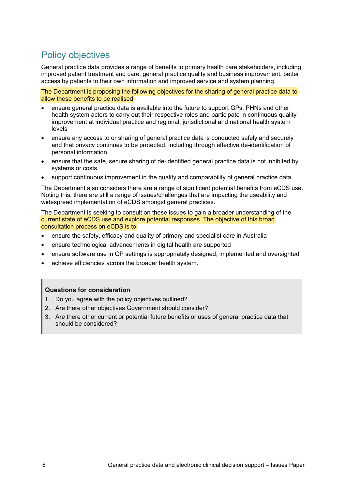## Policy objectives

General practice data provides a range of benefits to primary health care stakeholders, including improved patient treatment and care, general practice quality and business improvement, better access by patients to their own information and improved service and system planning.

The Department is proposing the following objectives for the sharing of general practice data to allow these benefits to be realised:

- ensure general practice data is available into the future to support GPs, PHNs and other health system actors to carry out their respective roles and participate in continuous quality improvement at individual practice and regional, jurisdictional and national health system levels
- ensure any access to or sharing of general practice data is conducted safely and securely and that privacy continues to be protected, including through effective de-identification of personal information
- ensure that the safe, secure sharing of de-identified general practice data is not inhibited by systems or costs
- support continuous improvement in the quality and comparability of general practice data.

The Department also considers there are a range of significant potential benefits from eCDS use. Noting this, there are still a range of issues/challenges that are impacting the useability and widespread implementation of eCDS amongst general practices.

The Department is seeking to consult on these issues to gain a broader understanding of the current state of eCDS use and explore potential responses. The objective of this broad consultation process on eCDS is to:

- ensure the safety, efficacy and quality of primary and specialist care in Australia
- ensure technological advancements in digital health are supported
- ensure software use in GP settings is appropriately designed, implemented and oversighted
- achieve efficiencies across the broader health system.

- 1. Do you agree with the policy objectives outlined?
- 2. Are there other objectives Government should consider?
- 3. Are there other current or potential future benefits or uses of general practice data that should be considered?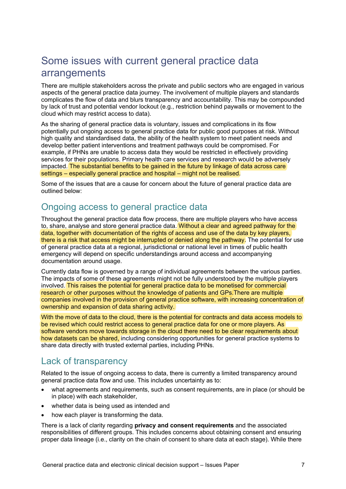## <span id="page-6-0"></span>Some issues with current general practice data arrangements

There are multiple stakeholders across the private and public sectors who are engaged in various aspects of the general practice data journey. The involvement of multiple players and standards complicates the flow of data and blurs transparency and accountability. This may be compounded by lack of trust and potential vendor lockout (e.g., restriction behind paywalls or movement to the cloud which may restrict access to data).

As the sharing of general practice data is voluntary, issues and complications in its flow potentially put ongoing access to general practice data for public good purposes at risk. Without high quality and standardised data, the ability of the health system to meet patient needs and develop better patient interventions and treatment pathways could be compromised. For example, if PHNs are unable to access data they would be restricted in effectively providing services for their populations. Primary health care services and research would be adversely impacted. The substantial benefits to be gained in the future by linkage of data across care settings – especially general practice and hospital – might not be realised.

Some of the issues that are a cause for concern about the future of general practice data are outlined below:

### Ongoing access to general practice data

Throughout the general practice data flow process, there are multiple players who have access to, share, analyse and store general practice data. Without a clear and agreed pathway for the data, together with documentation of the rights of access and use of the data by key players, there is a risk that access might be interrupted or denied along the pathway. The potential for use of general practice data at a regional, jurisdictional or national level in times of public health emergency will depend on specific understandings around access and accompanying documentation around usage.

Currently data flow is governed by a range of individual agreements between the various parties. The impacts of some of these agreements might not be fully understood by the multiple players involved. This raises the potential for general practice data to be monetised for commercial research or other purposes without the knowledge of patients and GPs.There are multiple companies involved in the provision of general practice software, with increasing concentration of ownership and expansion of data sharing activity.

With the move of data to the cloud, there is the potential for contracts and data access models to be revised which could restrict access to general practice data for one or more players. As software vendors move towards storage in the cloud there need to be clear requirements about how datasets can be shared, including considering opportunities for general practice systems to share data directly with trusted external parties, including PHNs.

### Lack of transparency

Related to the issue of ongoing access to data, there is currently a limited transparency around general practice data flow and use. This includes uncertainty as to:

- what agreements and requirements, such as consent requirements, are in place (or should be in place) with each stakeholder,
- whether data is being used as intended and
- how each player is transforming the data.

There is a lack of clarity regarding **privacy and consent requirements** and the associated responsibilities of different groups. This includes concerns about obtaining consent and ensuring proper data lineage (i.e., clarity on the chain of consent to share data at each stage). While there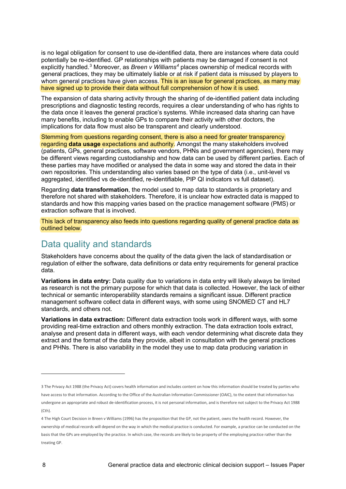is no legal obligation for consent to use de-identified data, there are instances where data could potentially be re-identified. GP relationships with patients may be damaged if consent is not explicitly handled. [3](#page-7-0) Moreover, as *Breen v Williams[4](#page-7-1)* places ownership of medical records with general practices, they may be ultimately liable or at risk if patient data is misused by players to whom general practices have given access. This is an issue for general practices, as many may have signed up to provide their data without full comprehension of how it is used.

The expansion of data sharing activity through the sharing of de-identified patient data including prescriptions and diagnostic testing records, requires a clear understanding of who has rights to the data once it leaves the general practice's systems. While increased data sharing can have many benefits, including to enable GPs to compare their activity with other doctors, the implications for data flow must also be transparent and clearly understood.

Stemming from questions regarding consent, there is also a need for greater transparency regarding **data usage** expectations and authority. Amongst the many stakeholders involved (patients, GPs, general practices, software vendors, PHNs and government agencies), there may be different views regarding custodianship and how data can be used by different parties. Each of these parties may have modified or analysed the data in some way and stored the data in their own repositories. This understanding also varies based on the type of data (i.e., unit-level vs aggregated, identified vs de-identified, re-identifiable, PIP QI indicators vs full dataset).

Regarding **data transformation**, the model used to map data to standards is proprietary and therefore not shared with stakeholders. Therefore, it is unclear how extracted data is mapped to standards and how this mapping varies based on the practice management software (PMS) or extraction software that is involved.

This lack of transparency also feeds into questions regarding quality of general practice data as outlined below.

### Data quality and standards

Stakeholders have concerns about the quality of the data given the lack of standardisation or regulation of either the software, data definitions or data entry requirements for general practice data.

**Variations in data entry:** Data quality due to variations in data entry will likely always be limited as research is not the primary purpose for which that data is collected. However, the lack of either technical or semantic interoperability standards remains a significant issue. Different practice management software collect data in different ways, with some using SNOMED CT and HL7 standards, and others not.

**Variations in data extraction:** Different data extraction tools work in different ways, with some providing real-time extraction and others monthly extraction. The data extraction tools extract, analyse and present data in different ways, with each vendor determining what discrete data they extract and the format of the data they provide, albeit in consultation with the general practices and PHNs. There is also variability in the model they use to map data producing variation in

<span id="page-7-0"></span><sup>3</sup> The Privacy Act 1988 (the Privacy Act) covers health information and includes content on how this information should be treated by parties who have access to that information. According to the Office of the Australian Information Commissioner (OAIC), to the extent that information has undergone an appropriate and robust de-identification process, it is not personal information, and is therefore not subject to the Privacy Act 1988 (Cth).

<span id="page-7-1"></span><sup>4</sup> The High Court Decision in Breen v Williams (1996) has the proposition that the GP, not the patient, owns the health record. However, the ownership of medical records will depend on the way in which the medical practice is conducted. For example, a practice can be conducted on the basis that the GPs are employed by the practice. In which case, the records are likely to be property of the employing practice rather than the treating GP.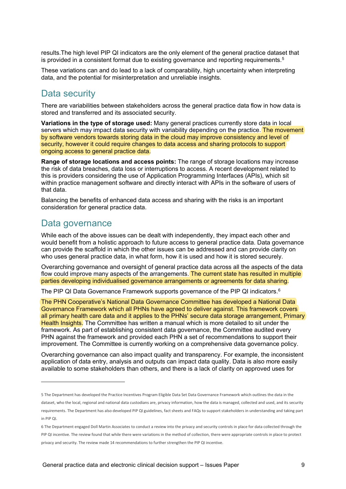results.The high level PIP QI indicators are the only element of the general practice dataset that is provided in a consistent format due to existing governance and reporting requirements. $5$ 

These variations can and do lead to a lack of comparability, high uncertainty when interpreting data, and the potential for misinterpretation and unreliable insights.

### Data security

There are variabilities between stakeholders across the general practice data flow in how data is stored and transferred and its associated security.

**Variations in the type of storage used:** Many general practices currently store data in local servers which may impact data security with variability depending on the practice. The movement by software vendors towards storing data in the cloud may improve consistency and level of security, however it could require changes to data access and sharing protocols to support ongoing access to general practice data.

**Range of storage locations and access points:** The range of storage locations may increase the risk of data breaches, data loss or interruptions to access. A recent development related to this is providers considering the use of Application Programming Interfaces (APIs), which sit within practice management software and directly interact with APIs in the software of users of that data.

Balancing the benefits of enhanced data access and sharing with the risks is an important consideration for general practice data.

### Data governance

While each of the above issues can be dealt with independently, they impact each other and would benefit from a holistic approach to future access to general practice data. Data governance can provide the scaffold in which the other issues can be addressed and can provide clarity on who uses general practice data, in what form, how it is used and how it is stored securely.

Overarching governance and oversight of general practice data across all the aspects of the data flow could improve many aspects of the arrangements. The current state has resulted in multiple parties developing individualised governance arrangements or agreements for data sharing.

The PIP QI Data Governance Framework supports governance of the PIP QI indicators.<sup>[6](#page-8-1)</sup>

The PHN Cooperative's National Data Governance Committee has developed a National Data Governance Framework which all PHNs have agreed to deliver against. This framework covers all primary health care data and it applies to the PHNs' secure data storage arrangement, Primary Health Insights. The Committee has written a manual which is more detailed to sit under the framework. As part of establishing consistent data governance, the Committee audited every PHN against the framework and provided each PHN a set of recommendations to support their improvement. The Committee is currently working on a comprehensive data governance policy.

Overarching governance can also impact quality and transparency. For example, the inconsistent application of data entry, analysis and outputs can impact data quality. Data is also more easily available to some stakeholders than others, and there is a lack of clarity on approved uses for

<span id="page-8-0"></span><sup>5</sup> The Department has developed the Practice Incentives Program Eligible Data Set Data Governance Framework which outlines the data in the

dataset, who the local, regional and national data custodians are, privacy information, how the data is managed, collected and used, and its security requirements. The Department has also developed PIP QI guidelines, fact sheets and FAQs to support stakeholders in understanding and taking part in PIP QI.

<span id="page-8-1"></span><sup>6</sup> The Department engaged Doll Martin Associates to conduct a review into the privacy and security controls in place for data collected through the PIP QI incentive. The review found that while there were variations in the method of collection, there were appropriate controls in place to protect privacy and security. The review made 14 recommendations to further strengthen the PIP QI incentive.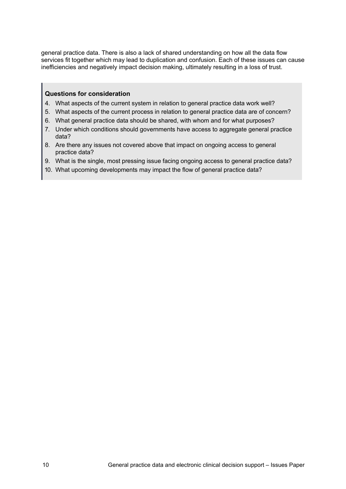general practice data. There is also a lack of shared understanding on how all the data flow services fit together which may lead to duplication and confusion. Each of these issues can cause inefficiencies and negatively impact decision making, ultimately resulting in a loss of trust.

- 4. What aspects of the current system in relation to general practice data work well?
- 5. What aspects of the current process in relation to general practice data are of concern?
- 6. What general practice data should be shared, with whom and for what purposes?
- 7. Under which conditions should governments have access to aggregate general practice data?
- 8. Are there any issues not covered above that impact on ongoing access to general practice data?
- 9. What is the single, most pressing issue facing ongoing access to general practice data?
- 10. What upcoming developments may impact the flow of general practice data?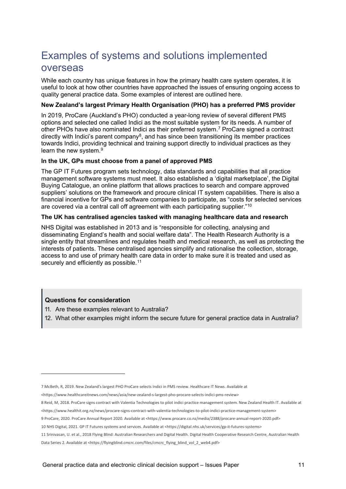## <span id="page-10-0"></span>Examples of systems and solutions implemented overseas

While each country has unique features in how the primary health care system operates, it is useful to look at how other countries have approached the issues of ensuring ongoing access to quality general practice data. Some examples of interest are outlined here.

#### **New Zealand's largest Primary Health Organisation (PHO) has a preferred PMS provider**

In 2019, ProCare (Auckland's PHO) conducted a year-long review of several different PMS options and selected one called Indici as the most suitable system for its needs. A number of other PHOs have also nominated Indici as their preferred system.[7](#page-10-1) ProCare signed a contract directly with Indici's parent company<sup>[8](#page-10-2)</sup>, and has since been transitioning its member practices towards Indici, providing technical and training support directly to individual practices as they learn the new system.<sup>[9](#page-10-3)</sup>

#### **In the UK, GPs must choose from a panel of approved PMS**

The GP IT Futures program sets technology, data standards and capabilities that all practice management software systems must meet. It also established a 'digital marketplace', the Digital Buying Catalogue, an online platform that allows practices to search and compare approved suppliers' solutions on the framework and procure clinical IT system capabilities. There is also a financial incentive for GPs and software companies to participate, as "costs for selected services are covered via a central call off agreement with each participating supplier."[10](#page-10-4)

#### **The UK has centralised agencies tasked with managing healthcare data and research**

NHS Digital was established in 2013 and is "responsible for collecting, analysing and disseminating England's health and social welfare data". The Health Research Authority is a single entity that streamlines and regulates health and medical research, as well as protecting the interests of patients. These centralised agencies simplify and rationalise the collection, storage, access to and use of primary health care data in order to make sure it is treated and used as securely and efficiently as possible.<sup>[11](#page-10-5)</sup>

- 11. Are these examples relevant to Australia?
- 12. What other examples might inform the secure future for general practice data in Australia?

- <span id="page-10-2"></span>8 Reid, M, 2018. ProCare signs contract with Valentia Technologies to pilot indici practice management system. New Zealand Health IT. Available at [<https://www.healthit.org.nz/news/procare-signs-contract-with-valentia-technologies-to-pilot-indici-practice-management-system>](https://www.healthit.org.nz/news/procare-signs-contract-with-valentia-technologies-to-pilot-indici-practice-management-system)
- <span id="page-10-3"></span>9 ProCare, 2020. ProCare Annual Report 2020. Available at <https://www.procare.co.nz/media/2388/procare-annual-report-2020.pdf>

<span id="page-10-1"></span><sup>7</sup> McBeth, R, 2019. New Zealand's largest PHO ProCare selects Indici in PMS review. Healthcare IT News. Available at

[<sup>&</sup>lt;https://www.healthcareitnews.com/news/asia/new-zealand-s-largest-pho-procare-selects-indici-pms-review>](https://www.healthcareitnews.com/news/asia/new-zealand-s-largest-pho-procare-selects-indici-pms-review)

<span id="page-10-4"></span><sup>10</sup> NHS Digital, 2021. GP IT Futures systems and services. Available at [<https://digital.nhs.uk/services/gp-it-futures-systems>](https://digital.nhs.uk/services/gp-it-futures-systems)

<span id="page-10-5"></span><sup>11</sup> Srinivasan, U. et al., 2018 Flying Blind: Australian Researchers and Digital Health. Digital Health Cooperative Research Centre, Australian Health Data Series 2. Available at <https://flyingblind.cmcrc.com/files/cmcrc\_flying\_blind\_vol\_2\_web4.pdf>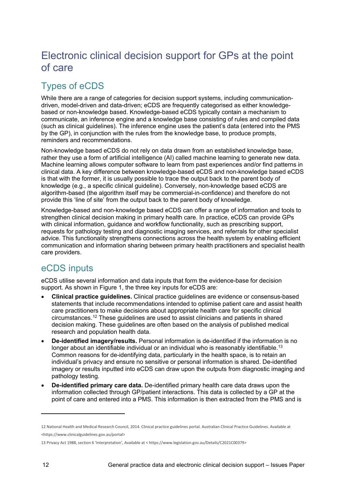## <span id="page-11-0"></span>Electronic clinical decision support for GPs at the point of care

## Types of eCDS

While there are a range of categories for decision support systems, including communicationdriven, model-driven and data-driven; eCDS are frequently categorised as either knowledgebased or non-knowledge based. Knowledge-based eCDS typically contain a mechanism to communicate, an inference engine and a knowledge base consisting of rules and compiled data (such as clinical guidelines). The inference engine uses the patient's data (entered into the PMS by the GP), in conjunction with the rules from the knowledge base, to produce prompts, reminders and recommendations.

Non-knowledge based eCDS do not rely on data drawn from an established knowledge base, rather they use a form of artificial intelligence (AI) called machine learning to generate new data. Machine learning allows computer software to learn from past experiences and/or find patterns in clinical data. A key difference between knowledge-based eCDS and non-knowledge based eCDS is that with the former, it is usually possible to trace the output back to the parent body of knowledge (e.g., a specific clinical guideline). Conversely, non-knowledge based eCDS are algorithm-based (the algorithm itself may be commercial-in-confidence) and therefore do not provide this 'line of site' from the output back to the parent body of knowledge.

Knowledge-based and non-knowledge based eCDS can offer a range of information and tools to strengthen clinical decision making in primary health care. In practice, eCDS can provide GPs with clinical information, guidance and workflow functionality, such as prescribing support, requests for pathology testing and diagnostic imaging services, and referrals for other specialist advice. This functionality strengthens connections across the health system by enabling efficient communication and information sharing between primary health practitioners and specialist health care providers.

### eCDS inputs

eCDS utilise several information and data inputs that form the evidence-base for decision support. As shown in Figure 1, the three key inputs for eCDS are:

- **Clinical practice guidelines.** Clinical practice guidelines are evidence or consensus-based statements that include recommendations intended to optimise patient care and assist health care practitioners to make decisions about appropriate health care for specific clinical circumstances[.12](#page-11-1) These guidelines are used to assist clinicians and patients in shared decision making. These guidelines are often based on the analysis of published medical research and population health data.
- **De-identified imagery/results.** Personal information is de-identified if the information is no longer about an identifiable individual or an individual who is reasonably identifiable.<sup>[13](#page-11-2)</sup> Common reasons for de-identifying data, particularly in the health space, is to retain an individual's privacy and ensure no sensitive or personal information is shared. De-identified imagery or results inputted into eCDS can draw upon the outputs from diagnostic imaging and pathology testing.
- **De-identified primary care data.** De-identified primary health care data draws upon the information collected through GP/patient interactions. This data is collected by a GP at the point of care and entered into a PMS. This information is then extracted from the PMS and is

<span id="page-11-1"></span><sup>12</sup> National Health and Medical Research Council, 2014. Clinical practice guidelines portal. Australian Clinical Practice Guidelines. Available at [<https://www.clinicalguidelines.gov.au/portal>](https://www.clinicalguidelines.gov.au/portal)

<span id="page-11-2"></span><sup>13</sup> Privacy Act 1988, section 6 'Interpretation', Available at < https://www.legislation.gov.au/Details/C2021C00379>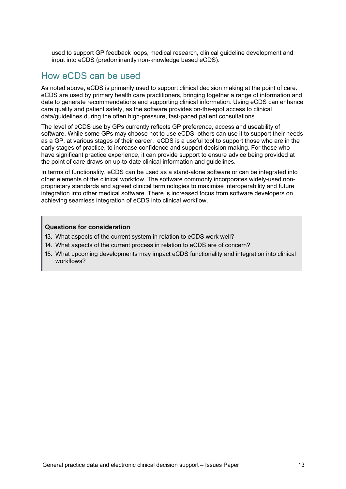used to support GP feedback loops, medical research, clinical guideline development and input into eCDS (predominantly non-knowledge based eCDS).

### How eCDS can be used

As noted above, eCDS is primarily used to support clinical decision making at the point of care. eCDS are used by primary health care practitioners, bringing together a range of information and data to generate recommendations and supporting clinical information. Using eCDS can enhance care quality and patient safety, as the software provides on-the-spot access to clinical data/guidelines during the often high-pressure, fast-paced patient consultations.

The level of eCDS use by GPs currently reflects GP preference, access and useability of software. While some GPs may choose not to use eCDS, others can use it to support their needs as a GP, at various stages of their career. eCDS is a useful tool to support those who are in the early stages of practice, to increase confidence and support decision making. For those who have significant practice experience, it can provide support to ensure advice being provided at the point of care draws on up-to-date clinical information and guidelines.

In terms of functionality, eCDS can be used as a stand-alone software or can be integrated into other elements of the clinical workflow. The software commonly incorporates widely-used nonproprietary standards and agreed clinical terminologies to maximise interoperability and future integration into other medical software. There is increased focus from software developers on achieving seamless integration of eCDS into clinical workflow.

- 13. What aspects of the current system in relation to eCDS work well?
- 14. What aspects of the current process in relation to eCDS are of concern?
- 15. What upcoming developments may impact eCDS functionality and integration into clinical workflows?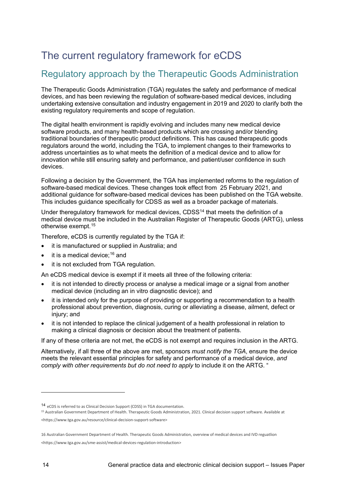## <span id="page-13-0"></span>The current regulatory framework for eCDS

### Regulatory approach by the Therapeutic Goods Administration

The Therapeutic Goods Administration (TGA) regulates the safety and performance of medical devices, and has been reviewing the regulation of software-based medical devices, including undertaking extensive consultation and industry engagement in 2019 and 2020 to clarify both the existing regulatory requirements and scope of regulation.

The digital health environment is rapidly evolving and includes many new medical device software products, and many health-based products which are crossing and/or blending traditional boundaries of therapeutic product definitions. This has caused therapeutic goods regulators around the world, including the TGA, to implement changes to their frameworks to address uncertainties as to what meets the definition of a medical device and to allow for innovation while still ensuring safety and performance, and patient/user confidence in such devices.

Following a decision by the Government, the TGA has [implemented reforms](https://www.tga.gov.au/medical-devices-reforms-medical-device-software-regulation) to [the regulation of](https://www.tga.gov.au/regulation-software-based-medical-devices)  [software-based medical devices.](https://www.tga.gov.au/regulation-software-based-medical-devices) These changes took effect from 25 February 2021, and additional guidance for software-based medical devices has been published on the TGA website. This includes guidance specifically for CDSS as well as a broader package of materials.

Under theregulatory framework for medical devices, CDSS[14](#page-13-1) that meets the definition of a medical device must be included in the Australian Register of Therapeutic Goods (ARTG), unless otherwise exempt.[15](#page-13-2)

Therefore, eCDS is currently regulated by the TGA if:

- it is manufactured or supplied in Australia; and
- it is a medical device;  $16$  and
- it is not excluded from TGA regulation.

An eCDS medical device is exempt if it meets all three of the following criteria:

- it is not intended to directly process or analyse a medical image or a signal from another medical device (including an in vitro diagnostic device); and
- it is intended only for the purpose of providing or supporting a recommendation to a health professional about prevention, diagnosis, curing or alleviating a disease, ailment, defect or injury; and
- it is not intended to replace the clinical judgement of a health professional in relation to making a clinical diagnosis or decision about the treatment of patients.

If any of these criteria are not met, the eCDS is not exempt and requires inclusion in the ARTG.

Alternatively, if all three of the above are met, sponsors *must notify the TGA*, ensure the device meets the relevant essential principles for safety and performance of a medical device, *and comply with other requirements but do not need to apply* to include it on the ARTG. "

<span id="page-13-2"></span>

<span id="page-13-1"></span><sup>14</sup> eCDS is referred to as Clinical Decision Support (CDSS) in TGA documentation.<br><sup>15</sup> Australian Government Department of Health. Therapeutic Goods Administration, 2021. Clinical decision support software. Available at <https://www.tga.gov.au/resource/clinical-decision-support-software>

<span id="page-13-3"></span><sup>16</sup> Australian Government Department of Health. Therapeutic Goods Administration, overview of medical devices and IVD reguatlion

<sup>&</sup>lt;https://www.tga.gov.au/sme-assist/medical-devices-regulation-introduction>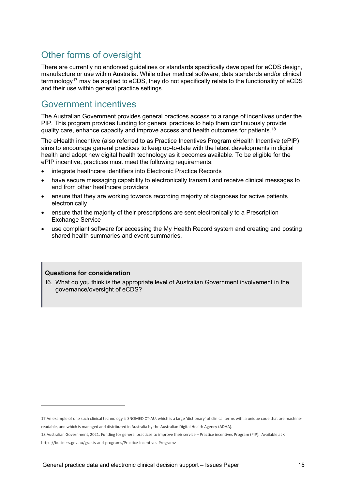### Other forms of oversight

There are currently no endorsed guidelines or standards specifically developed for eCDS design, manufacture or use within Australia. While other medical software, data standards and/or clinical terminology<sup>[17](#page-14-0)</sup> may be applied to eCDS, they do not specifically relate to the functionality of eCDS and their use within general practice settings.

### Government incentives

The Australian Government provides general practices access to a range of incentives under the PIP. This program provides funding for general practices to help them continuously provide quality care, enhance capacity and improve access and health outcomes for patients.<sup>[18](#page-14-1)</sup>

The eHealth incentive (also referred to as Practice Incentives Program eHealth Incentive (ePIP) aims to encourage general practices to keep up-to-date with the latest developments in digital health and adopt new digital health technology as it becomes available. To be eligible for the ePIP incentive, practices must meet the following requirements:

- integrate healthcare identifiers into Electronic Practice Records
- have secure messaging capability to electronically transmit and receive clinical messages to and from other healthcare providers
- ensure that they are working towards recording majority of diagnoses for active patients electronically
- ensure that the majority of their prescriptions are sent electronically to a Prescription Exchange Service
- use compliant software for accessing the My Health Record system and creating and posting shared health summaries and event summaries.

#### **Questions for consideration**

16. What do you think is the appropriate level of Australian Government involvement in the governance/oversight of eCDS?

<span id="page-14-0"></span><sup>17</sup> An example of one such clinical technology is SNOMED CT-AU, which is a large 'dictionary' of clinical terms with a unique code that are machinereadable, and which is managed and distributed in Australia by the Australian Digital Health Agency (ADHA).

<span id="page-14-1"></span><sup>18</sup> Australian Government, 2021. Funding for general practices to improve their service – Practice incentives Program (PIP). Available at < [https://business.gov.au/grants-and-programs/Practice-Incentives-Program>](https://business.gov.au/grants-and-programs/Practice-Incentives-Program)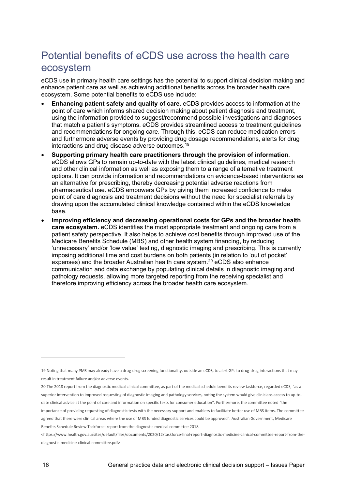## <span id="page-15-0"></span>Potential benefits of eCDS use across the health care ecosystem

eCDS use in primary health care settings has the potential to support clinical decision making and enhance patient care as well as achieving additional benefits across the broader health care ecosystem. Some potential benefits to eCDS use include:

- **Enhancing patient safety and quality of care.** eCDS provides access to information at the point of care which informs shared decision making about patient diagnosis and treatment, using the information provided to suggest/recommend possible investigations and diagnoses that match a patient's symptoms. eCDS provides streamlined access to treatment guidelines and recommendations for ongoing care. Through this, eCDS can reduce medication errors and furthermore adverse events by providing drug dosage recommendations, alerts for drug interactions and drug disease adverse outcomes.[19](#page-15-1)
- **Supporting primary health care practitioners through the provision of information**. eCDS allows GPs to remain up-to-date with the latest clinical guidelines, medical research and other clinical information as well as exposing them to a range of alternative treatment options. It can provide information and recommendations on evidence-based interventions as an alternative for prescribing, thereby decreasing potential adverse reactions from pharmaceutical use. eCDS empowers GPs by giving them increased confidence to make point of care diagnosis and treatment decisions without the need for specialist referrals by drawing upon the accumulated clinical knowledge contained within the eCDS knowledge base.
- **Improving efficiency and decreasing operational costs for GPs and the broader health care ecosystem.** eCDS identifies the most appropriate treatment and ongoing care from a patient safety perspective. It also helps to achieve cost benefits through improved use of the Medicare Benefits Schedule (MBS) and other health system financing, by reducing 'unnecessary' and/or 'low value' testing, diagnostic imaging and prescribing. This is currently imposing additional time and cost burdens on both patients (in relation to 'out of pocket' expenses) and the broader Australian health care system.<sup>[20](#page-15-2)</sup> eCDS also enhance communication and data exchange by populating clinical details in diagnostic imaging and pathology requests, allowing more targeted reporting from the receiving specialist and therefore improving efficiency across the broader health care ecosystem.

<span id="page-15-1"></span><sup>19</sup> Noting that many PMS may already have a drug-drug screening functionality, outside an eCDS, to alert GPs to drug-drug interactions that may result in treatment failure and/or adverse events.

<span id="page-15-2"></span><sup>20</sup> The 2018 report from the diagnostic medical clinical committee, as part of the medical schedule benefits review taskforce, regarded eCDS, "as a superior intervention to improved requesting of diagnostic imaging and pathology services, noting the system would give clinicians access to up-todate clinical advice at the point of care and information on specific texts for consumer education". Furthermore, the committee noted "the importance of providing requesting of diagnostic tests with the necessary support and enablers to facilitate better use of MBS items. The committee agreed that there were clinical areas where the use of MBS funded diagnostic services could be approved". Australian Government, Medicare Benefits Schedule Review Taskforce: report from the diagnostic medical committee 2018

<sup>&</sup>lt;https://www.health.gov.au/sites/default/files/documents/2020/12/taskforce-final-report-diagnostic-medicine-clinical-committee-report-from-thediagnostic-medicine-clinical-committee.pdf>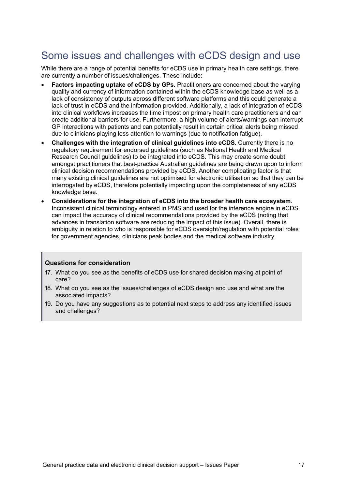## <span id="page-16-0"></span>Some issues and challenges with eCDS design and use

While there are a range of potential benefits for eCDS use in primary health care settings, there are currently a number of issues/challenges. These include:

- **Factors impacting uptake of eCDS by GPs.** Practitioners are concerned about the varying quality and currency of information contained within the eCDS knowledge base as well as a lack of consistency of outputs across different software platforms and this could generate a lack of trust in eCDS and the information provided. Additionally, a lack of integration of eCDS into clinical workflows increases the time impost on primary health care practitioners and can create additional barriers for use. Furthermore, a high volume of alerts/warnings can interrupt GP interactions with patients and can potentially result in certain critical alerts being missed due to clinicians playing less attention to warnings (due to notification fatigue).
- **Challenges with the integration of clinical guidelines into eCDS.** Currently there is no regulatory requirement for endorsed guidelines (such as National Health and Medical Research Council guidelines) to be integrated into eCDS. This may create some doubt amongst practitioners that best-practice Australian guidelines are being drawn upon to inform clinical decision recommendations provided by eCDS. Another complicating factor is that many existing clinical guidelines are not optimised for electronic utilisation so that they can be interrogated by eCDS, therefore potentially impacting upon the completeness of any eCDS knowledge base.
- **Considerations for the integration of eCDS into the broader health care ecosystem**. Inconsistent clinical terminology entered in PMS and used for the inference engine in eCDS can impact the accuracy of clinical recommendations provided by the eCDS (noting that advances in translation software are reducing the impact of this issue). Overall, there is ambiguity in relation to who is responsible for eCDS oversight/regulation with potential roles for government agencies, clinicians peak bodies and the medical software industry.

- 17. What do you see as the benefits of eCDS use for shared decision making at point of care?
- 18. What do you see as the issues/challenges of eCDS design and use and what are the associated impacts?
- 19. Do you have any suggestions as to potential next steps to address any identified issues and challenges?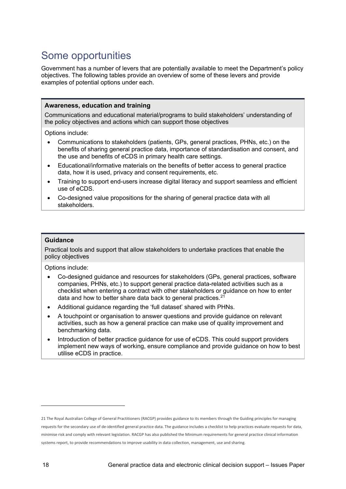## <span id="page-17-0"></span>Some opportunities

Government has a number of levers that are potentially available to meet the Department's policy objectives. The following tables provide an overview of some of these levers and provide examples of potential options under each.

#### **Awareness, education and training**

Communications and educational material/programs to build stakeholders' understanding of the policy objectives and actions which can support those objectives

Options include:

- Communications to stakeholders (patients, GPs, general practices, PHNs, etc.) on the benefits of sharing general practice data, importance of standardisation and consent, and the use and benefits of eCDS in primary health care settings.
- Educational/informative materials on the benefits of better access to general practice data, how it is used, privacy and consent requirements, etc.
- Training to support end-users increase digital literacy and support seamless and efficient use of eCDS.
- Co-designed value propositions for the sharing of general practice data with all stakeholders.

#### **Guidance**

Practical tools and support that allow stakeholders to undertake practices that enable the policy objectives

Options include:

- Co-designed guidance and resources for stakeholders (GPs, general practices, software companies, PHNs, etc.) to support general practice data-related activities such as a checklist when entering a contract with other stakeholders or guidance on how to enter data and how to better share data back to general practices. $^{\mathrm{21}}$  $^{\mathrm{21}}$  $^{\mathrm{21}}$
- Additional guidance regarding the 'full dataset' shared with PHNs.
- A touchpoint or organisation to answer questions and provide guidance on relevant activities, such as how a general practice can make use of quality improvement and benchmarking data.
- Introduction of better practice guidance for use of eCDS. This could support providers implement new ways of working, ensure compliance and provide guidance on how to best utilise eCDS in practice.

<span id="page-17-1"></span><sup>21</sup> The Royal Australian College of General Practitioners (RACGP) provides guidance to its members through the Guiding principles for managing requests for the secondary use of de-identified general practice data. The guidance includes a checklist to help practices evaluate requests for data, minimise risk and comply with relevant legislation. RACGP has also published the Minimum requirements for general practice clinical information systems report, to provide recommendations to improve usability in data collection, management, use and sharing.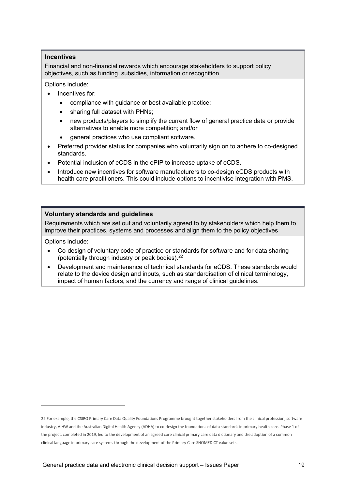#### **Incentives**

Financial and non-financial rewards which encourage stakeholders to support policy objectives, such as funding, subsidies, information or recognition

Options include:

- Incentives for:
	- compliance with guidance or best available practice;
	- sharing full dataset with PHNs;
	- new products/players to simplify the current flow of general practice data or provide alternatives to enable more competition; and/or
	- general practices who use compliant software.
- Preferred provider status for companies who voluntarily sign on to adhere to co-designed standards.
- Potential inclusion of eCDS in the ePIP to increase uptake of eCDS.
- Introduce new incentives for software manufacturers to co-design eCDS products with health care practitioners. This could include options to incentivise integration with PMS.

#### **Voluntary standards and guidelines**

Requirements which are set out and voluntarily agreed to by stakeholders which help them to improve their practices, systems and processes and align them to the policy objectives

Options include:

- Co-design of voluntary code of practice or standards for software and for data sharing (potentially through industry or peak bodies). [22](#page-18-0)
- Development and maintenance of technical standards for eCDS. These standards would relate to the device design and inputs, such as standardisation of clinical terminology, impact of human factors, and the currency and range of clinical guidelines.

<span id="page-18-0"></span><sup>22</sup> For example, the CSIRO Primary Care Data Quality Foundations Programme brought together stakeholders from the clinical profession, software industry, AIHW and the Australian Digital Health Agency (ADHA) to co-design the foundations of data standards in primary health care. Phase 1 of the project, completed in 2019, led to the development of an agreed core clinical primary care data dictionary and the adoption of a common clinical language in primary care systems through the development of the Primary Care SNOMED CT value sets.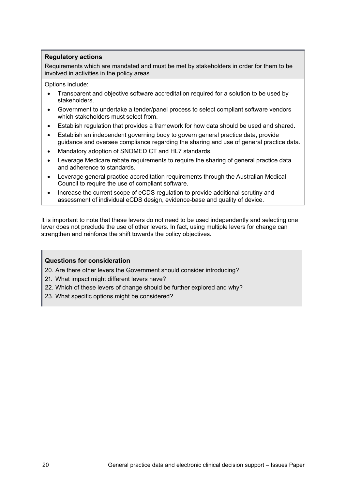#### **Regulatory actions**

Requirements which are mandated and must be met by stakeholders in order for them to be involved in activities in the policy areas

Options include:

- Transparent and objective software accreditation required for a solution to be used by stakeholders.
- Government to undertake a tender/panel process to select compliant software vendors which stakeholders must select from.
- Establish regulation that provides a framework for how data should be used and shared.
- Establish an independent governing body to govern general practice data, provide guidance and oversee compliance regarding the sharing and use of general practice data.
- Mandatory adoption of SNOMED CT and HL7 standards.
- Leverage Medicare rebate requirements to require the sharing of general practice data and adherence to standards.
- Leverage general practice accreditation requirements through the Australian Medical Council to require the use of compliant software.
- Increase the current scope of eCDS regulation to provide additional scrutiny and assessment of individual eCDS design, evidence-base and quality of device.

It is important to note that these levers do not need to be used independently and selecting one lever does not preclude the use of other levers. In fact, using multiple levers for change can strengthen and reinforce the shift towards the policy objectives.

#### **Questions for consideration**

20. Are there other levers the Government should consider introducing?

- 21. What impact might different levers have?
- 22. Which of these levers of change should be further explored and why?
- 23. What specific options might be considered?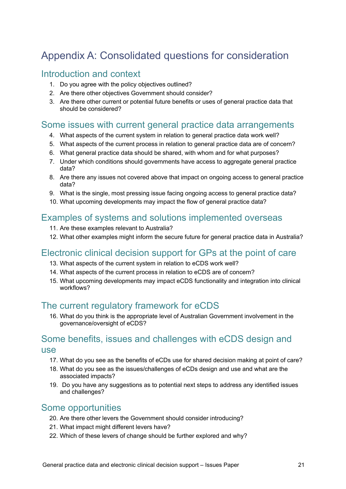## <span id="page-20-0"></span>Appendix A: Consolidated questions for consideration

### Introduction and context

- 1. Do you agree with the policy objectives outlined?
- 2. Are there other objectives Government should consider?
- 3. Are there other current or potential future benefits or uses of general practice data that should be considered?

### Some issues with current general practice data arrangements

- 4. What aspects of the current system in relation to general practice data work well?
- 5. What aspects of the current process in relation to general practice data are of concern?
- 6. What general practice data should be shared, with whom and for what purposes?
- 7. Under which conditions should governments have access to aggregate general practice data?
- 8. Are there any issues not covered above that impact on ongoing access to general practice data?
- 9. What is the single, most pressing issue facing ongoing access to general practice data?
- 10. What upcoming developments may impact the flow of general practice data?

### Examples of systems and solutions implemented overseas

- 11. Are these examples relevant to Australia?
- 12. What other examples might inform the secure future for general practice data in Australia?

### Electronic clinical decision support for GPs at the point of care

- 13. What aspects of the current system in relation to eCDS work well?
- 14. What aspects of the current process in relation to eCDS are of concern?
- 15. What upcoming developments may impact eCDS functionality and integration into clinical workflows?

### The current regulatory framework for eCDS

16. What do you think is the appropriate level of Australian Government involvement in the governance/oversight of eCDS?

### Some benefits, issues and challenges with eCDS design and use

- 17. What do you see as the benefits of eCDs use for shared decision making at point of care?
- 18. What do you see as the issues/challenges of eCDs design and use and what are the associated impacts?
- 19. Do you have any suggestions as to potential next steps to address any identified issues and challenges?

### Some opportunities

- 20. Are there other levers the Government should consider introducing?
- 21. What impact might different levers have?
- 22. Which of these levers of change should be further explored and why?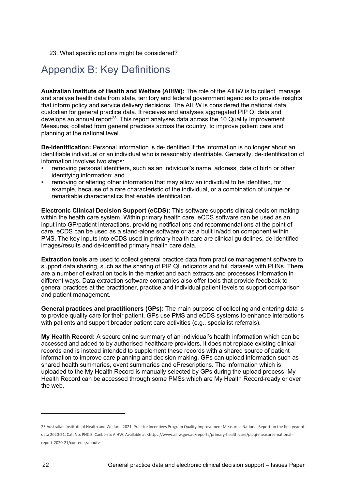23. What specific options might be considered?

## <span id="page-21-0"></span>Appendix B: Key Definitions

**Australian Institute of Health and Welfare (AIHW):** The role of the AIHW is to collect, manage and analyse health data from state, territory and federal government agencies to provide insights that inform policy and service delivery decisions. The AIHW is considered the national data custodian for general practice data. It receives and analyses aggregated PIP QI data and develops an annual report<sup>23</sup>. This report analyses data across the 10 Quality Improvement Measures, collated from general practices across the country, to improve patient care and planning at the national level.

**De-identification:** Personal information is de-identified if the information is no longer about an identifiable individual or an individual who is reasonably identifiable. Generally, de-identification of information involves two steps:

- removing personal identifiers, such as an individual's name, address, date of birth or other identifying information; and
- removing or altering other information that may allow an individual to be identified, for example, because of a rare characteristic of the individual, or a combination of unique or remarkable characteristics that enable identification.

**Electronic Clinical Decision Support (eCDS):** This software supports clinical decision making within the health care system. Within primary health care, eCDS software can be used as an input into GP/patient interactions, providing notifications and recommendations at the point of care. eCDS can be used as a stand-alone software or as a built in/add on component within PMS. The key inputs into eCDS used in primary health care are clinical guidelines, de-identified images/results and de-identified primary health care data.

**Extraction tools** are used to collect general practice data from practice management software to support data sharing, such as the sharing of PIP QI indicators and full datasets with PHNs. There are a number of extraction tools in the market and each extracts and processes information in different ways. Data extraction software companies also offer tools that provide feedback to general practices at the practitioner, practice and individual patient levels to support comparison and patient management.

**General practices and practitioners (GPs):** The main purpose of collecting and entering data is to provide quality care for their patient. GPs use PMS and eCDS systems to enhance interactions with patients and support broader patient care activities (e.g., specialist referrals).

**My Health Record:** A secure online summary of an individual's health information which can be accessed and added to by authorised healthcare providers. It does not replace existing clinical records and is instead intended to supplement these records with a shared source of patient information to improve care planning and decision making. GPs can upload information such as shared health summaries, event summaries and ePrescriptions. The information which is uploaded to the My Health Record is manually selected by GPs during the upload process. My Health Record can be accessed through some PMSs which are My Health Record-ready or over the web.

<span id="page-21-1"></span><sup>23</sup> Australian Institute of Health and Welfare, 2021. Practice Incentives Program Quality Improvement Measures: National Report on the first year of data 2020-21. Cat. No. PHC 5. Canberra: AIHW. Available at <https://www.aihw.gov.au/reports/primary-health-care/pipqi-measures-nationalreport-2020-21/contents/about>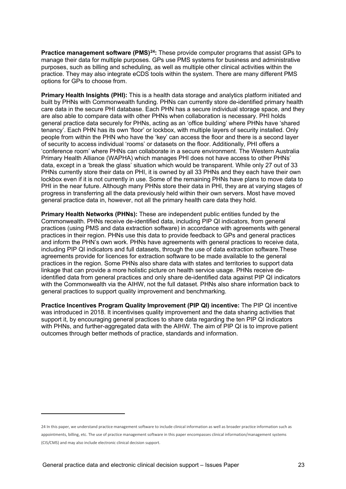**Practice management software (PMS)[24:](#page-22-0)** These provide computer programs that assist GPs to manage their data for multiple purposes. GPs use PMS systems for business and administrative purposes, such as billing and scheduling, as well as multiple other clinical activities within the practice. They may also integrate eCDS tools within the system. There are many different PMS options for GPs to choose from.

**Primary Health Insights (PHI):** This is a health data storage and analytics platform initiated and built by PHNs with Commonwealth funding. PHNs can currently store de-identified primary health care data in the secure PHI database. Each PHN has a secure individual storage space, and they are also able to compare data with other PHNs when collaboration is necessary. PHI holds general practice data securely for PHNs, acting as an 'office building' where PHNs have 'shared tenancy'. Each PHN has its own 'floor' or lockbox, with multiple layers of security installed. Only people from within the PHN who have the 'key' can access the floor and there is a second layer of security to access individual 'rooms' or datasets on the floor. Additionally, PHI offers a 'conference room' where PHNs can collaborate in a secure environment. The Western Australia Primary Health Alliance (WAPHA) which manages PHI does not have access to other PHNs' data, except in a 'break the glass' situation which would be transparent. While only 27 out of 33 PHNs currently store their data on PHI, it is owned by all 33 PHNs and they each have their own lockbox even if it is not currently in use. Some of the remaining PHNs have plans to move data to PHI in the near future. Although many PHNs store their data in PHI, they are at varying stages of progress in transferring all the data previously held within their own servers. Most have moved general practice data in, however, not all the primary health care data they hold.

**Primary Health Networks (PHNs):** These are independent public entities funded by the Commonwealth. PHNs receive de-identified data, including PIP QI indicators, from general practices (using PMS and data extraction software) in accordance with agreements with general practices in their region. PHNs use this data to provide feedback to GPs and general practices and inform the PHN's own work. PHNs have agreements with general practices to receive data, including PIP QI indicators and full datasets, through the use of data extraction software.These agreements provide for licences for extraction software to be made available to the general practices in the region. Some PHNs also share data with states and territories to support data linkage that can provide a more holistic picture on health service usage. PHNs receive deidentified data from general practices and only share de-identified data against PIP QI indicators with the Commonwealth via the AIHW, not the full dataset. PHNs also share information back to general practices to support quality improvement and benchmarking.

**Practice Incentives Program Quality Improvement (PIP QI) incentive:** The PIP QI incentive was introduced in 2018. It incentivises quality improvement and the data sharing activities that support it, by encouraging general practices to share data regarding the ten PIP QI indicators with PHNs, and further-aggregated data with the AIHW. The aim of PIP QI is to improve patient outcomes through better methods of practice, standards and information.

<span id="page-22-0"></span><sup>24</sup> In this paper, we understand practice management software to include clinical information as well as broader practice information such as appointments, billing, etc. The use of practice management software in this paper encompasses clinical information/management systems (CIS/CMS) and may also include electronic clinical decision support.